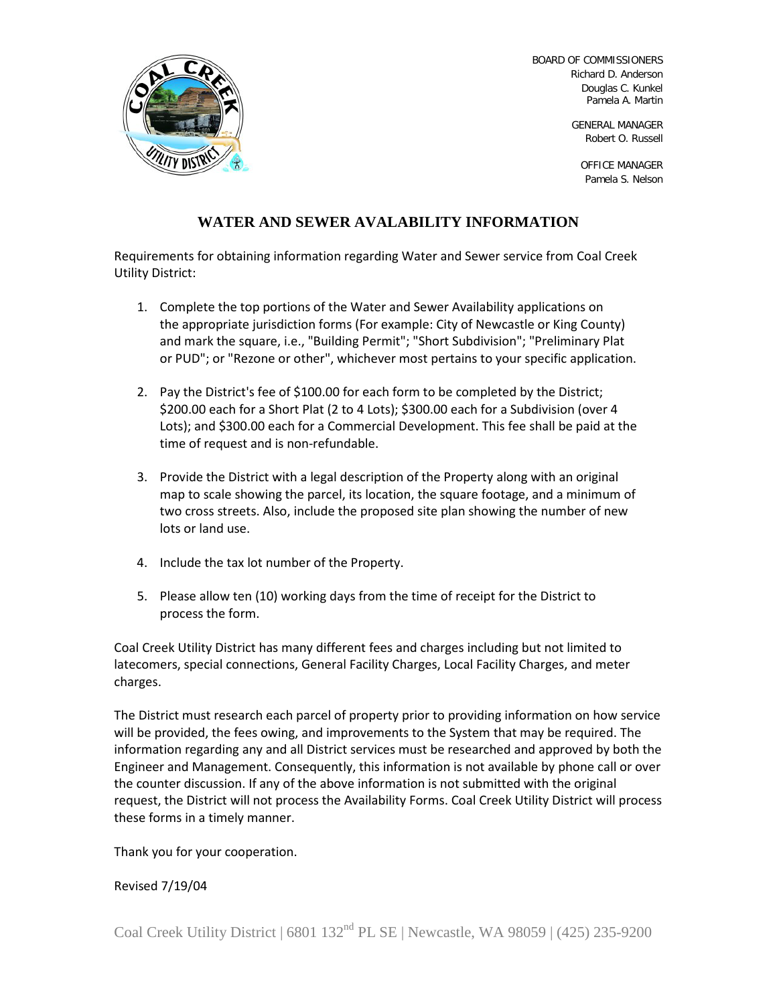

BOARD OF COMMISSIONERS Richard D. Anderson Douglas C. Kunkel Pamela A. Martin

> GENERAL MANAGER Robert O. Russell

OFFICE MANAGER Pamela S. Nelson

## **WATER AND SEWER AVALABILITY INFORMATION**

Requirements for obtaining information regarding Water and Sewer service from Coal Creek Utility District:

- 1. Complete the top portions of the Water and Sewer Availability applications on the appropriate jurisdiction forms (For example: City of Newcastle or King County) and mark the square, i.e., "Building Permit"; "Short Subdivision"; "Preliminary Plat or PUD"; or "Rezone or other", whichever most pertains to your specific application.
- 2. Pay the District's fee of \$100.00 for each form to be completed by the District; \$200.00 each for a Short Plat (2 to 4 Lots); \$300.00 each for a Subdivision (over 4 Lots); and \$300.00 each for a Commercial Development. This fee shall be paid at the time of request and is non-refundable.
- 3. Provide the District with a legal description of the Property along with an original map to scale showing the parcel, its location, the square footage, and a minimum of two cross streets. Also, include the proposed site plan showing the number of new lots or land use.
- 4. Include the tax lot number of the Property.
- 5. Please allow ten (10) working days from the time of receipt for the District to process the form.

Coal Creek Utility District has many different fees and charges including but not limited to latecomers, special connections, General Facility Charges, Local Facility Charges, and meter charges.

The District must research each parcel of property prior to providing information on how service will be provided, the fees owing, and improvements to the System that may be required. The information regarding any and all District services must be researched and approved by both the Engineer and Management. Consequently, this information is not available by phone call or over the counter discussion. If any of the above information is not submitted with the original request, the District will not process the Availability Forms. Coal Creek Utility District will process these forms in a timely manner.

Thank you for your cooperation.

Revised 7/19/04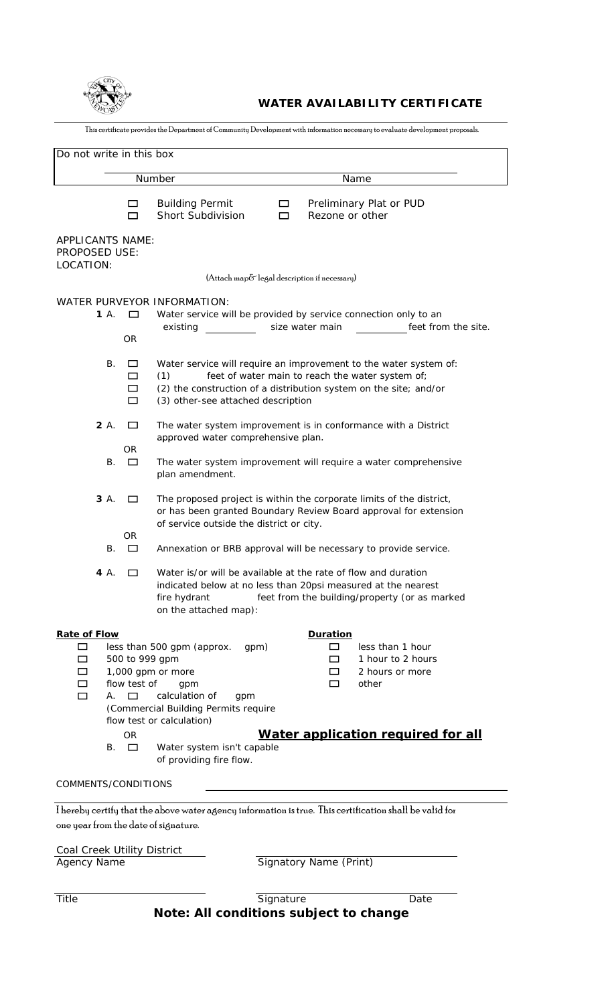

## **WATER AVAILABILITY CERTIFICATE**

This certificate provides the Department of Community Development with information necessary to evaluate development proposals.

| Do not write in this box                                                                                                                        |                                                                                                                                                                                |                                                                                                                                                                                            |  |  |
|-------------------------------------------------------------------------------------------------------------------------------------------------|--------------------------------------------------------------------------------------------------------------------------------------------------------------------------------|--------------------------------------------------------------------------------------------------------------------------------------------------------------------------------------------|--|--|
| Number                                                                                                                                          |                                                                                                                                                                                | Name                                                                                                                                                                                       |  |  |
| $\Box$<br>□                                                                                                                                     | <b>Building Permit</b><br>Short Subdivision                                                                                                                                    | Preliminary Plat or PUD<br>$\Box$<br>Rezone or other<br>$\Box$                                                                                                                             |  |  |
| <b>APPLICANTS NAME:</b><br>PROPOSED USE:<br>LOCATION:                                                                                           |                                                                                                                                                                                | (Attach map& legal description if necessary)                                                                                                                                               |  |  |
|                                                                                                                                                 |                                                                                                                                                                                |                                                                                                                                                                                            |  |  |
| 1A.<br>$\Box$<br>0R                                                                                                                             | WATER PURVEYOR INFORMATION:<br>existing                                                                                                                                        | Water service will be provided by service connection only to an<br>size water main<br>feet from the site.                                                                                  |  |  |
| В.<br>□<br>□<br>□<br>口                                                                                                                          | (1)<br>(3) other-see attached description                                                                                                                                      | Water service will require an improvement to the water system of:<br>feet of water main to reach the water system of;<br>(2) the construction of a distribution system on the site; and/or |  |  |
| 2 A.<br>□                                                                                                                                       | approved water comprehensive plan.                                                                                                                                             | The water system improvement is in conformance with a District                                                                                                                             |  |  |
| 0R<br>В.<br>$\Box$                                                                                                                              | plan amendment.                                                                                                                                                                | The water system improvement will require a water comprehensive                                                                                                                            |  |  |
| 3 A.<br>□                                                                                                                                       | of service outside the district or city.                                                                                                                                       | The proposed project is within the corporate limits of the district,<br>or has been granted Boundary Review Board approval for extension                                                   |  |  |
| OR.<br>В.<br>□                                                                                                                                  |                                                                                                                                                                                | Annexation or BRB approval will be necessary to provide service.                                                                                                                           |  |  |
| 4 A.<br>□                                                                                                                                       | fire hydrant<br>on the attached map):                                                                                                                                          | Water is/or will be available at the rate of flow and duration<br>indicated below at no less than 20psi measured at the nearest<br>feet from the building/property (or as marked           |  |  |
| <b>Rate of Flow</b>                                                                                                                             |                                                                                                                                                                                | <b>Duration</b>                                                                                                                                                                            |  |  |
| □<br>$\Box$<br>□<br>flow test of<br>▭<br>$\Box$<br>$\Box$<br>А.<br><b>OR</b>                                                                    | less than 500 gpm (approx.<br>gpm)<br>500 to 999 gpm<br>1,000 gpm or more<br>gpm<br>calculation of<br>gpm<br>(Commercial Building Permits require<br>flow test or calculation) | $\Box$<br>less than 1 hour<br>1 hour to 2 hours<br>$\Box$<br>2 hours or more<br>□<br>other<br>$\Box$<br>Water application required for all                                                 |  |  |
| В.<br>$\Box$                                                                                                                                    | Water system isn't capable<br>of providing fire flow.                                                                                                                          |                                                                                                                                                                                            |  |  |
| COMMENTS/CONDITIONS                                                                                                                             |                                                                                                                                                                                |                                                                                                                                                                                            |  |  |
| I hereby certify that the above water agency information is true. This certification shall be valid for<br>one year from the date of signature. |                                                                                                                                                                                |                                                                                                                                                                                            |  |  |
|                                                                                                                                                 |                                                                                                                                                                                |                                                                                                                                                                                            |  |  |
| Coal Creek Utility District<br>Agency Name                                                                                                      |                                                                                                                                                                                | <b>Signatory Name (Print)</b>                                                                                                                                                              |  |  |

Title Signature Date **Note: All conditions subject to change**